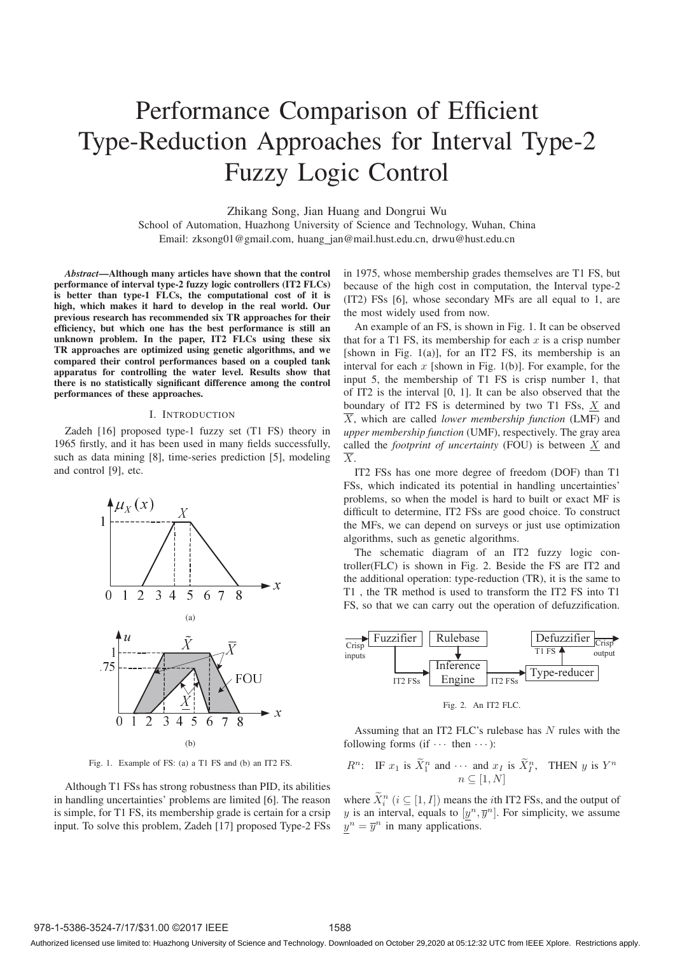# Performance Comparison of Efficient Type-Reduction Approaches for Interval Type-2 Fuzzy Logic Control

Zhikang Song, Jian Huang and Dongrui Wu

School of Automation, Huazhong University of Science and Technology, Wuhan, China Email: zksong01@gmail.com, huang jan@mail.hust.edu.cn, drwu@hust.edu.cn

*Abstract*—Although many articles have shown that the control performance of interval type-2 fuzzy logic controllers (IT2 FLCs) is better than type-1 FLCs, the computational cost of it is high, which makes it hard to develop in the real world. Our previous research has recommended six TR approaches for their efficiency, but which one has the best performance is still an unknown problem. In the paper, IT2 FLCs using these six TR approaches are optimized using genetic algorithms, and we compared their control performances based on a coupled tank apparatus for controlling the water level. Results show that there is no statistically significant difference among the control performances of these approaches.

#### I. INTRODUCTION

Zadeh [16] proposed type-1 fuzzy set (T1 FS) theory in 1965 firstly, and it has been used in many fields successfully, such as data mining [8], time-series prediction [5], modeling and control [9], etc.



Fig. 1. Example of FS: (a) a T1 FS and (b) an IT2 FS.

Although T1 FSs has strong robustness than PID, its abilities in handling uncertainties' problems are limited [6]. The reason is simple, for T1 FS, its membership grade is certain for a crsip input. To solve this problem, Zadeh [17] proposed Type-2 FSs

in 1975, whose membership grades themselves are T1 FS, but because of the high cost in computation, the Interval type-2 (IT2) FSs [6], whose secondary MFs are all equal to 1, are the most widely used from now.

An example of an FS, is shown in Fig. 1. It can be observed that for a T1 FS, its membership for each  $x$  is a crisp number [shown in Fig.  $1(a)$ ], for an IT2 FS, its membership is an interval for each  $x$  [shown in Fig. 1(b)]. For example, for the input 5, the membership of T1 FS is crisp number 1, that of IT2 is the interval [0, 1]. It can be also observed that the boundary of IT2 FS is determined by two T1 FSs,  $X$  and  $\overline{X}$ , which are called *lower membership function* (LMF) and *upper membership function* (UMF), respectively. The gray area called the *footprint of uncertainty* (FOU) is between X and  $\overline{X}$ .

IT2 FSs has one more degree of freedom (DOF) than T1 FSs, which indicated its potential in handling uncertainties' problems, so when the model is hard to built or exact MF is difficult to determine, IT2 FSs are good choice. To construct the MFs, we can depend on surveys or just use optimization algorithms, such as genetic algorithms.

The schematic diagram of an IT2 fuzzy logic controller(FLC) is shown in Fig. 2. Beside the FS are IT2 and the additional operation: type-reduction (TR), it is the same to T1 , the TR method is used to transform the IT2 FS into T1 FS, so that we can carry out the operation of defuzzification.



Fig. 2. An IT2 FLC.

Assuming that an IT2 FLC's rulebase has N rules with the following forms (if  $\cdots$  then  $\cdots$  ):

*R*<sup>n</sup>: IF 
$$
x_1
$$
 is  $\widetilde{X}_1^n$  and  $\cdots$  and  $x_I$  is  $\widetilde{X}_I^n$ , THEN  $y$  is  $Y^n$   
 $n \subseteq [1, N]$ 

where  $\widetilde{X}_i^n$   $(i \subseteq [1, I])$  means the *i*th IT2 FSs, and the output of y is an interval, equals to  $[y^n, \overline{y}^n]$ . For simplicity, we assume  $y^n = \overline{y}^n$  in many applications.

Authorized licensed use limited to: Huazhong University of Science and Technology. Downloaded on October 29,2020 at 05:12:32 UTC from IEEE Xplore. Restrictions apply.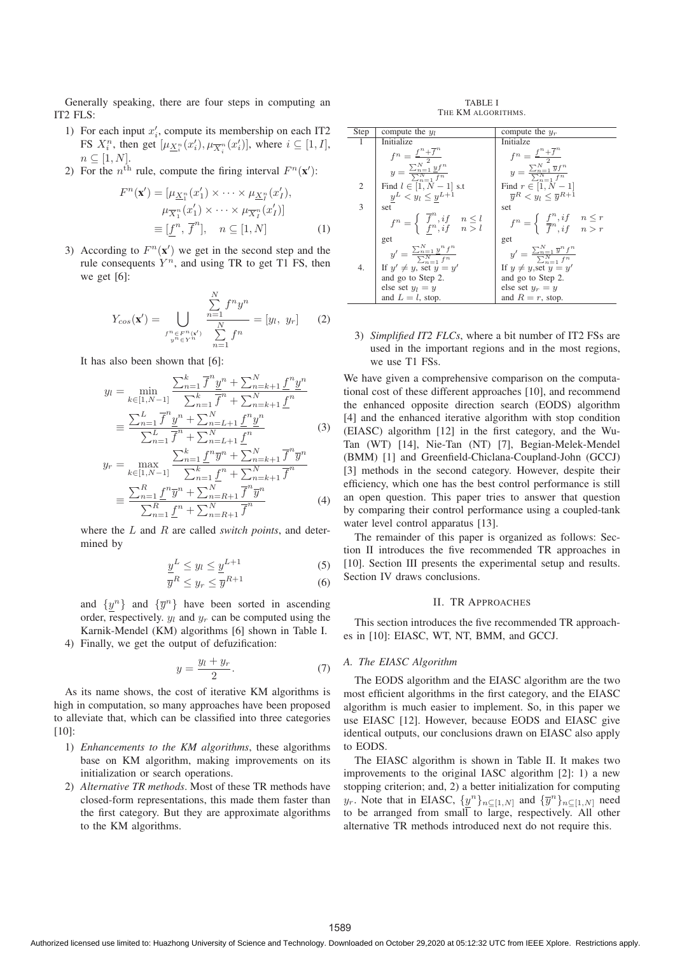Generally speaking, there are four steps in computing an IT2 FLS:

- 1) For each input  $x_i'$ , compute its membership on each IT2 FS  $X_i^n$ , then get  $[\mu_{\underline{X_i^n}}(x_i'), \mu_{\overline{X_i^n}}(x_i')]$ , where  $i \subseteq [1, I]$ ,  $n \subseteq [1, N].$
- 2) For the  $n^{\text{th}}$  rule, compute the firing interval  $F^{n}(\mathbf{x}')$ :

$$
F^{n}(\mathbf{x}') = [\mu_{\underline{X}_{1}^{n}}(x'_{1}) \times \cdots \times \mu_{\underline{X}_{I}^{n}}(x'_{I}),
$$

$$
\mu_{\overline{X}_{1}^{n}}(x'_{1}) \times \cdots \times \mu_{\overline{X}_{I}^{n}}(x'_{I})]
$$

$$
= [\underline{f}^{n}, \overline{f}^{n}], \quad n \subseteq [1, N]
$$
(1)

3) According to  $F^{n}(\mathbf{x}')$  we get in the second step and the rule consequents  $Y^n$ , and using TR to get T1 FS, then we get [6]:

$$
Y_{cos}(\mathbf{x}') = \bigcup_{\substack{f^n \in F^n(\mathbf{x}')} \atop y^n \in Y^n} \frac{\sum_{n=1}^N f^n y^n}{\sum_{n=1}^N f^n} = [y_l, y_r] \tag{2}
$$

It has also been shown that [6]:

$$
y_l = \min_{k \in [1, N-1]} \frac{\sum_{n=1}^k \overline{f}^n \underline{y}^n + \sum_{n=k+1}^N \underline{f}^n \underline{y}^n}{\sum_{n=1}^k \overline{f}^n + \sum_{n=k+1}^N \underline{f}^n}
$$

$$
\equiv \frac{\sum_{n=1}^L \overline{f}^n \underline{y}^n + \sum_{n=L+1}^N \underline{f}^n \underline{y}^n}{\sum_{k=1}^L \overline{f}^n + \sum_{k=1}^N \underline{f}^n}
$$
(3)

$$
\equiv \frac{\sum_{n=1}^{n} \frac{1}{p} \cdot \sum_{n=L+1}^{n} \frac{1}{p} \cdot \sum_{n=L+1}^{n}}{\sum_{n=1}^{L} \bar{f}^{n} + \sum_{n=L+1}^{n} \underline{f}^{n}} \quad (3)
$$
\n
$$
y_{r} = \max_{k \in [1, N-1]} \frac{\sum_{n=1}^{k} \underline{f}^{n} \overline{y}^{n} + \sum_{n=k+1}^{N} \overline{f}^{n} \overline{y}^{n}}{\sum_{n=1}^{k} \underline{f}^{n} \overline{y}^{n} + \sum_{n=R+1}^{N} \overline{f}^{n} \overline{y}^{n}} \quad (4)
$$

$$
\equiv \frac{\sum_{n=1}^{n} \frac{1}{2} \cdot \frac{1}{2} \cdot \sum_{n=R+1}^{n} \cdot \frac{1}{2} \cdot \sum_{n=R+1}^{n}}{\sum_{n=1}^{R} \frac{1}{2} \cdot \sum_{n=R+1}^{n} \overline{f}^{n}}
$$
(4)

where the L and R are called *switch points*, and determined by

$$
\underline{y}^L \le y_l \le \underline{y}^{L+1} \tag{5}
$$

$$
\overline{y}^R \le y_r \le \overline{y}^{R+1} \tag{6}
$$

and  $\{y^n\}$  and  $\{\overline{y}^n\}$  have been sorted in ascending order, respectively.  $y_l$  and  $y_r$  can be computed using the Karnik-Mendel (KM) algorithms [6] shown in Table I.

4) Finally, we get the output of defuzification:

$$
y = \frac{y_l + y_r}{2}.\tag{7}
$$

As its name shows, the cost of iterative KM algorithms is high in computation, so many approaches have been proposed to alleviate that, which can be classified into three categories [10]:

- 1) *Enhancements to the KM algorithms*, these algorithms base on KM algorithm, making improvements on its initialization or search operations.
- 2) *Alternative TR methods*. Most of these TR methods have closed-form representations, this made them faster than the first category. But they are approximate algorithms to the KM algorithms.

TABLE I THE KM ALGORITHMS.

| <b>Step</b> | compute the $y_l$                                                                                                                                | compute the $y_r$                                                                                                                                             |
|-------------|--------------------------------------------------------------------------------------------------------------------------------------------------|---------------------------------------------------------------------------------------------------------------------------------------------------------------|
|             | Initialize                                                                                                                                       | Initialze                                                                                                                                                     |
|             |                                                                                                                                                  |                                                                                                                                                               |
|             | $f^n = \frac{\underline{f}^n + \overline{f}^n}{\sum_{n=1}^N \underline{y} f^n}$<br>$y = \frac{\sum_{n=1}^N \underline{y} f^n}{\sum_{n=1}^N f^n}$ | $\begin{array}{l} f^n = \frac{f^n + \overline{f}^n}{\sum_{n=1}^N \overline{y} f^n} \\ y = \frac{\sum_{n=1}^N \overline{y} f^n}{\sum_{n=1}^N f^n} \end{array}$ |
| 2           | Find $l \in [1, N - 1]$ s.t                                                                                                                      | Find $r \in [1, N - 1]$                                                                                                                                       |
|             | $\underline{y}^L < y_l \leq \underline{y}^{L+1}$                                                                                                 | $\overline{u}^R < y_l < \overline{u}^{R+1}$                                                                                                                   |
| 3           | set                                                                                                                                              | set                                                                                                                                                           |
|             | $f^n = \begin{cases} \overline{f}^n, if & n \leq l \\ f^n, if & n > l \end{cases}$                                                               | $f^n = \begin{cases} \frac{f^n}{f^n}, if & n \leq r \\ \frac{f^n}{f^n}, if & n > r \end{cases}$                                                               |
|             | get                                                                                                                                              | get                                                                                                                                                           |
|             | $y' = \frac{\sum_{n=1}^{N} y^n f^n}{\sum_{n=1}^{N} f^n}$                                                                                         | $y' = \frac{\sum_{n=1}^{N} \overline{y}^n f^n}{\sum_{n=1}^{N} f^n}$                                                                                           |
| 4.          | If $y' \neq y$ , set $y = y'$                                                                                                                    | If $y \neq y$ , set $y = y'$                                                                                                                                  |
|             | and go to Step 2.                                                                                                                                | and go to Step 2.                                                                                                                                             |
|             | else set $y_l = y$                                                                                                                               | else set $y_r = y$                                                                                                                                            |
|             | and $L = l$ , stop.                                                                                                                              | and $R = r$ , stop.                                                                                                                                           |

3) *Simplified IT2 FLCs*, where a bit number of IT2 FSs are used in the important regions and in the most regions, we use T1 FSs.

We have given a comprehensive comparison on the computational cost of these different approaches [10], and recommend the enhanced opposite direction search (EODS) algorithm [4] and the enhanced iterative algorithm with stop condition (EIASC) algorithm [12] in the first category, and the Wu-Tan (WT) [14], Nie-Tan (NT) [7], Begian-Melek-Mendel (BMM) [1] and Greenfield-Chiclana-Coupland-John (GCCJ) [3] methods in the second category. However, despite their efficiency, which one has the best control performance is still an open question. This paper tries to answer that question by comparing their control performance using a coupled-tank water level control apparatus [13].

The remainder of this paper is organized as follows: Section II introduces the five recommended TR approaches in [10]. Section III presents the experimental setup and results. Section IV draws conclusions.

# II. TR APPROACHES

This section introduces the five recommended TR approaches in [10]: EIASC, WT, NT, BMM, and GCCJ.

#### *A. The EIASC Algorithm*

The EODS algorithm and the EIASC algorithm are the two most efficient algorithms in the first category, and the EIASC algorithm is much easier to implement. So, in this paper we use EIASC [12]. However, because EODS and EIASC give identical outputs, our conclusions drawn on EIASC also apply to EODS.

The EIASC algorithm is shown in Table II. It makes two improvements to the original IASC algorithm [2]: 1) a new stopping criterion; and, 2) a better initialization for computing  $y_r$ . Note that in EIASC,  $\{\underline{y}^n\}_{n\subseteq [1,N]}$  and  $\{\overline{y}^n\}_{n\subseteq [1,N]}$  need to be arranged from small to large, respectively. All other alternative TR methods introduced next do not require this.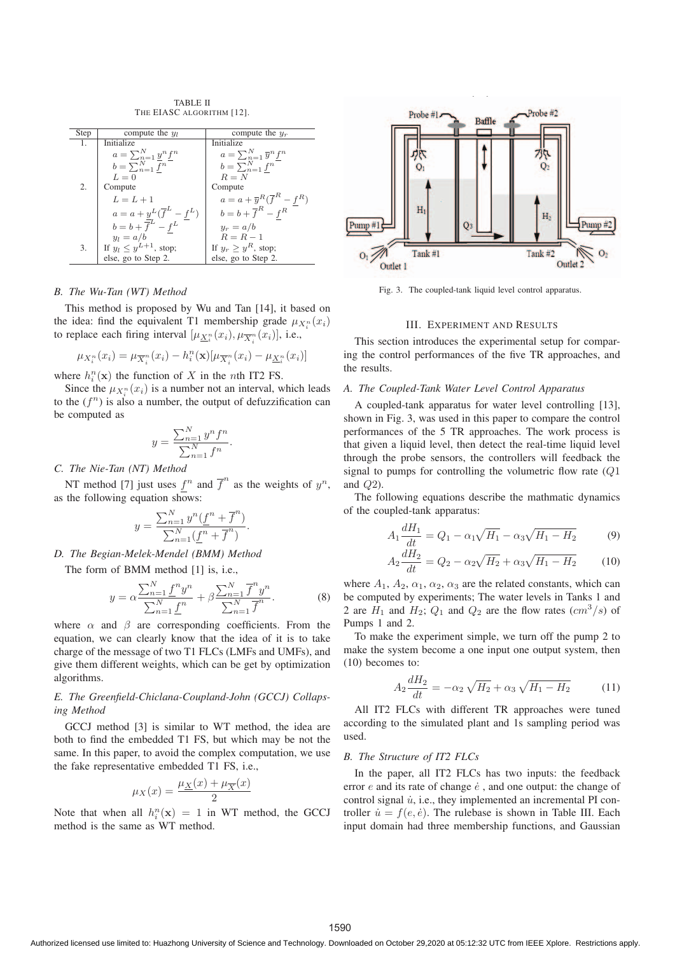TABLE II THE EIASC ALGORITHM [12].

| Step | compute the $y_l$                                    | compute the $y_r$                              |  |  |
|------|------------------------------------------------------|------------------------------------------------|--|--|
| 1.   | Initialize                                           | Initialize                                     |  |  |
|      | $a = \sum_{n=1}^{N} \underline{y}^n \underline{f}^n$ | $a = \sum_{n=1}^{N} \overline{y}^n f^n$        |  |  |
|      | $b=\sum_{n=1}^N \overline{f^n}$                      | $b=\sum_{n=1}^N f^n$                           |  |  |
|      | $L=0$                                                | $R = N$                                        |  |  |
| 2.   | Compute                                              | Compute                                        |  |  |
|      | $L = L + 1$                                          | $a = a + \overline{y}^R(\overline{f}^R - f^R)$ |  |  |
|      | $a = a + y^L(\overline{f}^L - f^L)$                  | $b = b + \overline{f}^R - f^R$                 |  |  |
|      | $b = b + \overline{f}^L - f^L$                       | $y_r = a/b$                                    |  |  |
|      | $y_l = a/b$                                          | $R = R - 1$                                    |  |  |
| 3.   | If $y_l \leq y^{L+1}$ , stop;                        | If $y_r > y^R$ , stop;                         |  |  |
|      | else, go to Step 2.                                  | else, go to Step 2.                            |  |  |

#### *B. The Wu-Tan (WT) Method*

This method is proposed by Wu and Tan [14], it based on the idea: find the equivalent T1 membership grade  $\mu_{X_i^n}(x_i)$ <br>to replace each fining interval  $\{u \in \{x_i\} \mid u \in \{x_i\} \}$ to replace each firing interval  $[\mu_{\underline{X}_i^n}(x_i), \mu_{\overline{X}_i^n}(\overline{x}_i)],$  i.e.,

$$
\mu_{X_i^n}(x_i) = \mu_{\overline{X}_i^n}(x_i) - h_i^n(\mathbf{x})[\mu_{\overline{X}_i^n}(x_i) - \mu_{\underline{X}_i^n}(x_i)]
$$

where  $h_i^n(\mathbf{x})$  the function of X in the *n*th IT2 FS.

Since the  $\mu_{X_i^n}(x_i)$  is a number not an interval, which leads<br>the  $(f_i^n)$  is also a number the output of defugrification can to the  $(f^n)$  is also a number, the output of defuzzification can be computed as

$$
y = \frac{\sum_{n=1}^{N} y^n f^n}{\sum_{n=1}^{N} f^n}.
$$

*C. The Nie-Tan (NT) Method*

NT method [7] just uses  $f^n$  and  $\overline{f}^n$  as the weights of  $y^n$ , as the following equation shows:

$$
y = \frac{\sum_{n=1}^{N} y^n (\underline{f}^n + \overline{f}^n)}{\sum_{n=1}^{N} (\underline{f}^n + \overline{f}^n)}.
$$

*D. The Begian-Melek-Mendel (BMM) Method*

The form of BMM method [1] is, i.e.,

$$
y = \alpha \frac{\sum_{n=1}^{N} \underline{f}^n y^n}{\sum_{n=1}^{N} \underline{f}^n} + \beta \frac{\sum_{n=1}^{N} \overline{f}^n y^n}{\sum_{n=1}^{N} \overline{f}^n}.
$$
 (8)

where  $\alpha$  and  $\beta$  are corresponding coefficients. From the equation, we can clearly know that the idea of it is to take charge of the message of two T1 FLCs (LMFs and UMFs), and give them different weights, which can be get by optimization algorithms.

#### *E. The Greenfield-Chiclana-Coupland-John (GCCJ) Collapsing Method*

GCCJ method [3] is similar to WT method, the idea are both to find the embedded T1 FS, but which may be not the same. In this paper, to avoid the complex computation, we use the fake representative embedded T1 FS, i.e.,

$$
\mu_X(x) = \frac{\mu_X(x) + \mu_{\overline{X}}(x)}{2}
$$

Note that when all  $h_i^n(\mathbf{x}) = 1$  in WT method, the GCCJ method is the same as WT method.



Fig. 3. The coupled-tank liquid level control apparatus.

#### III. EXPERIMENT AND RESULTS

This section introduces the experimental setup for comparing the control performances of the five TR approaches, and the results.

### *A. The Coupled-Tank Water Level Control Apparatus*

A coupled-tank apparatus for water level controlling [13], shown in Fig. 3, was used in this paper to compare the control performances of the 5 TR approaches. The work process is that given a liquid level, then detect the real-time liquid level through the probe sensors, the controllers will feedback the signal to pumps for controlling the volumetric flow rate  $(Q1)$ and Q2).

The following equations describe the mathmatic dynamics of the coupled-tank apparatus:

$$
A_1 \frac{dH_1}{dt} = Q_1 - \alpha_1 \sqrt{H_1} - \alpha_3 \sqrt{H_1 - H_2} \tag{9}
$$

$$
A_2 \frac{dH_2}{dt} = Q_2 - \alpha_2 \sqrt{H_2} + \alpha_3 \sqrt{H_1 - H_2}
$$
 (10)

where  $A_1$ ,  $A_2$ ,  $\alpha_1$ ,  $\alpha_2$ ,  $\alpha_3$  are the related constants, which can be computed by experiments; The water levels in Tanks 1 and 2 are  $H_1$  and  $H_2$ ;  $Q_1$  and  $Q_2$  are the flow rates  $(cm^3/s)$  of Pumps 1 and 2.

To make the experiment simple, we turn off the pump 2 to make the system become a one input one output system, then (10) becomes to:

$$
A_2 \frac{dH_2}{dt} = -\alpha_2 \sqrt{H_2} + \alpha_3 \sqrt{H_1 - H_2}
$$
 (11)

All IT2 FLCs with different TR approaches were tuned according to the simulated plant and 1s sampling period was used.

## *B. The Structure of IT2 FLCs*

In the paper, all IT2 FLCs has two inputs: the feedback error  $e$  and its rate of change  $\dot{e}$ , and one output: the change of control signal  $\dot{u}$ , i.e., they implemented an incremental PI controller  $\dot{u} = f(e, \dot{e})$ . The rulebase is shown in Table III. Each input domain had three membership functions, and Gaussian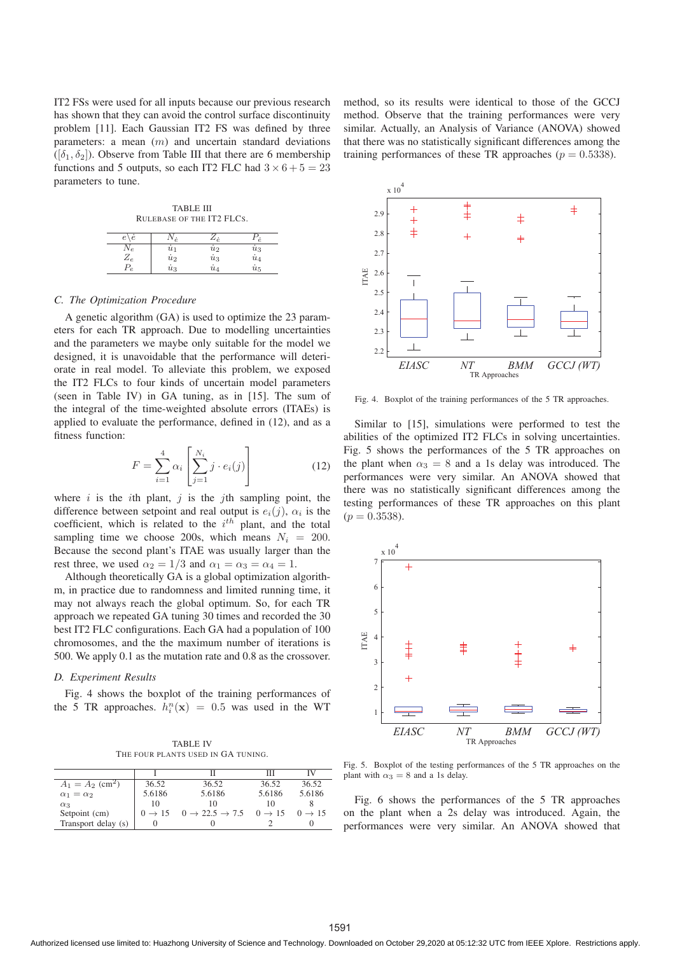IT2 FSs were used for all inputs because our previous research has shown that they can avoid the control surface discontinuity problem [11]. Each Gaussian IT2 FS was defined by three parameters: a mean  $(m)$  and uncertain standard deviations  $([\delta_1, \delta_2])$ . Observe from Table III that there are 6 membership functions and 5 outputs, so each IT2 FLC had  $3 \times 6 + 5 = 23$ parameters to tune.

TABLE III RULEBASE OF THE IT2 FLCS.  $e\backslash e$   $N_e$   $Z_e$   $P_e$  $N_e$   $\qquad \quad \dot{u}_1$   $\qquad \quad \dot{u}_2$   $\qquad \quad \dot{u}_3$  $Z_e$   $\begin{array}{ccc} & i_2 & & i_3 & & i_4 \end{array}$  $P_e$   $\dot{u}_3$   $\dot{u}_4$   $\dot{u}_5$ 

#### *C. The Optimization Procedure*

A genetic algorithm (GA) is used to optimize the 23 parameters for each TR approach. Due to modelling uncertainties and the parameters we maybe only suitable for the model we designed, it is unavoidable that the performance will deteriorate in real model. To alleviate this problem, we exposed the IT2 FLCs to four kinds of uncertain model parameters (seen in Table IV) in GA tuning, as in [15]. The sum of the integral of the time-weighted absolute errors (ITAEs) is applied to evaluate the performance, defined in (12), and as a fitness function:

$$
F = \sum_{i=1}^{4} \alpha_i \left[ \sum_{j=1}^{N_i} j \cdot e_i(j) \right]
$$
 (12)

where i is the ith plant, j is the jth sampling point, the difference between setpoint and real output is  $e_i(j)$ ,  $\alpha_i$  is the coefficient, which is related to the  $i^{th}$  plant, and the total sampling time we choose 200s, which means  $N_i = 200$ . Because the second plant's ITAE was usually larger than the rest three, we used  $\alpha_2 = 1/3$  and  $\alpha_1 = \alpha_3 = \alpha_4 = 1$ .

Although theoretically GA is a global optimization algorithm, in practice due to randomness and limited running time, it may not always reach the global optimum. So, for each TR approach we repeated GA tuning 30 times and recorded the 30 best IT2 FLC configurations. Each GA had a population of 100 chromosomes, and the the maximum number of iterations is 500. We apply 0.1 as the mutation rate and 0.8 as the crossover.

### *D. Experiment Results*

Fig. 4 shows the boxplot of the training performances of the 5 TR approaches.  $h_i^n(\mathbf{x}) = 0.5$  was used in the WT

TABLE IV THE FOUR PLANTS USED IN GA TUNING.

|                                |        |                                            | ш      | IV                 |
|--------------------------------|--------|--------------------------------------------|--------|--------------------|
| $A_1 = A_2$ (cm <sup>2</sup> ) | 36.52  | 36.52                                      | 36.52  | 36.52              |
| $\alpha_1 = \alpha_2$          | 5.6186 | 5.6186                                     | 5.6186 | 5.6186             |
| $\alpha_3$                     | 10     | 10                                         | 10     |                    |
| Setpoint (cm)                  |        | $0 \to 15$ $0 \to 22.5 \to 7.5$ $0 \to 15$ |        | $0 \rightarrow 15$ |
| Transport delay (s)            |        |                                            |        |                    |

method, so its results were identical to those of the GCCJ method. Observe that the training performances were very similar. Actually, an Analysis of Variance (ANOVA) showed that there was no statistically significant differences among the training performances of these TR approaches ( $p = 0.5338$ ).



Fig. 4. Boxplot of the training performances of the 5 TR approaches.

Similar to [15], simulations were performed to test the abilities of the optimized IT2 FLCs in solving uncertainties. Fig. 5 shows the performances of the 5 TR approaches on the plant when  $\alpha_3 = 8$  and a 1s delay was introduced. The performances were very similar. An ANOVA showed that there was no statistically significant differences among the testing performances of these TR approaches on this plant  $(p = 0.3538)$ .



Fig. 5. Boxplot of the testing performances of the 5 TR approaches on the plant with  $\alpha_3 = 8$  and a 1s delay.

Fig. 6 shows the performances of the 5 TR approaches on the plant when a 2s delay was introduced. Again, the performances were very similar. An ANOVA showed that